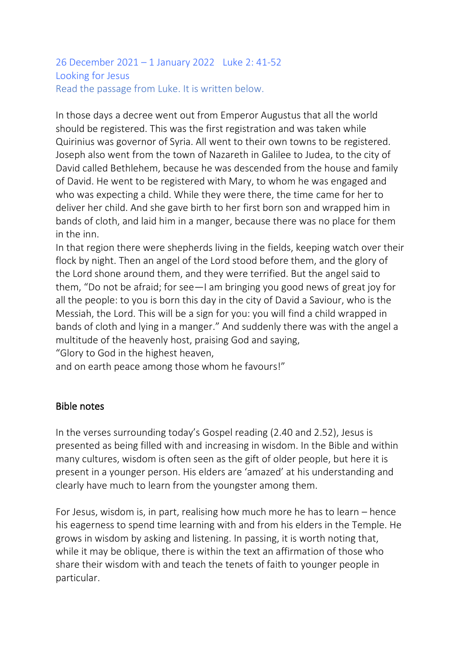#### 26 December 2021 – 1 January 2022 Luke 2: 41-52 Looking for Jesus Read the passage from Luke. It is written below.

In those days a decree went out from Emperor Augustus that all the world should be registered. This was the first registration and was taken while Quirinius was governor of Syria. All went to their own towns to be registered. Joseph also went from the town of Nazareth in Galilee to Judea, to the city of David called Bethlehem, because he was descended from the house and family of David. He went to be registered with Mary, to whom he was engaged and who was expecting a child. While they were there, the time came for her to deliver her child. And she gave birth to her first born son and wrapped him in bands of cloth, and laid him in a manger, because there was no place for them in the inn.

In that region there were shepherds living in the fields, keeping watch over their flock by night. Then an angel of the Lord stood before them, and the glory of the Lord shone around them, and they were terrified. But the angel said to them, "Do not be afraid; for see—I am bringing you good news of great joy for all the people: to you is born this day in the city of David a Saviour, who is the Messiah, the Lord. This will be a sign for you: you will find a child wrapped in bands of cloth and lying in a manger." And suddenly there was with the angel a multitude of the heavenly host, praising God and saying,

"Glory to God in the highest heaven,

and on earth peace among those whom he favours!"

#### Bible notes

In the verses surrounding today's Gospel reading (2.40 and 2.52), Jesus is presented as being filled with and increasing in wisdom. In the Bible and within many cultures, wisdom is often seen as the gift of older people, but here it is present in a younger person. His elders are 'amazed' at his understanding and clearly have much to learn from the youngster among them.

For Jesus, wisdom is, in part, realising how much more he has to learn – hence his eagerness to spend time learning with and from his elders in the Temple. He grows in wisdom by asking and listening. In passing, it is worth noting that, while it may be oblique, there is within the text an affirmation of those who share their wisdom with and teach the tenets of faith to younger people in particular.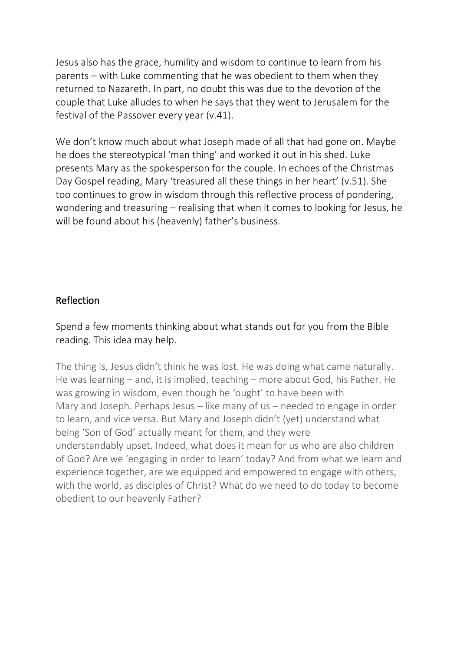Jesus also has the grace, humility and wisdom to continue to learn from his parents – with Luke commenting that he was obedient to them when they returned to Nazareth. In part, no doubt this was due to the devotion of the couple that Luke alludes to when he says that they went to Jerusalem for the festival of the Passover every year (v.41).

We don't know much about what Joseph made of all that had gone on. Maybe he does the stereotypical 'man thing' and worked it out in his shed. Luke presents Mary as the spokesperson for the couple. In echoes of the Christmas Day Gospel reading, Mary 'treasured all these things in her heart' (v.51). She too continues to grow in wisdom through this reflective process of pondering, wondering and treasuring – realising that when it comes to looking for Jesus, he will be found about his (heavenly) father's business.

### Reflection

Spend a few moments thinking about what stands out for you from the Bible reading. This idea may help.

The thing is, Jesus didn't think he was lost. He was doing what came naturally. He was learning – and, it is implied, teaching – more about God, his Father. He was growing in wisdom, even though he 'ought' to have been with Mary and Joseph. Perhaps Jesus – like many of us – needed to engage in order to learn, and vice versa. But Mary and Joseph didn't (yet) understand what being 'Son of God' actually meant for them, and they were understandably upset. Indeed, what does it mean for us who are also children of God? Are we 'engaging in order to learn' today? And from what we learn and experience together, are we equipped and empowered to engage with others, with the world, as disciples of Christ? What do we need to do today to become obedient to our heavenly Father?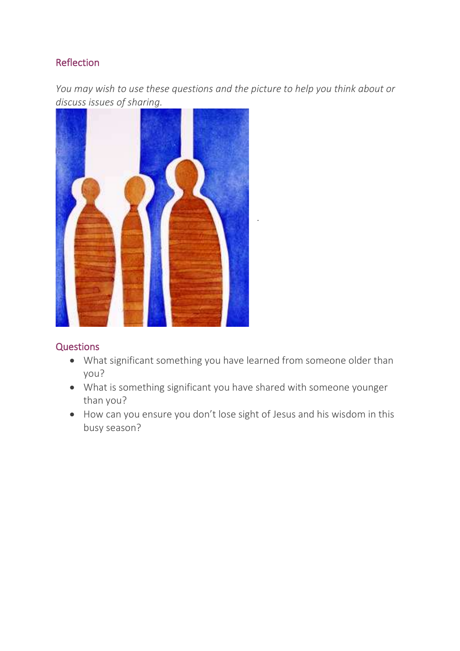### **Reflection**

*You may wish to use these questions and the picture to help you think about or discuss issues of sharing.*



#### **Questions**

• What significant something you have learned from someone older than you?

.

- What is something significant you have shared with someone younger than you?
- How can you ensure you don't lose sight of Jesus and his wisdom in this busy season?